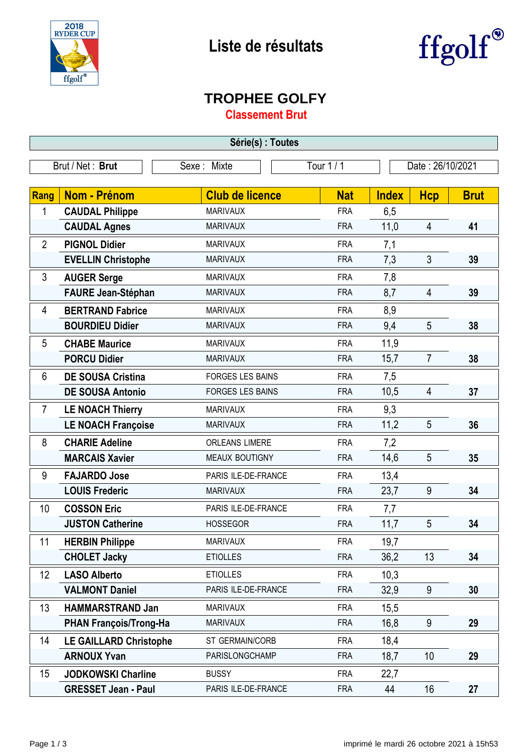



## **TROPHEE GOLFY**

**Classement Brut**

| Série(s) : Toutes |                               |                         |            |              |                  |             |  |
|-------------------|-------------------------------|-------------------------|------------|--------------|------------------|-------------|--|
|                   | Brut / Net: Brut              | Sexe: Mixte             | Tour 1 / 1 |              | Date: 26/10/2021 |             |  |
|                   |                               |                         |            |              |                  |             |  |
| Rang              | <b>Nom - Prénom</b>           | <b>Club de licence</b>  | <b>Nat</b> | <b>Index</b> | <b>Hcp</b>       | <b>Brut</b> |  |
| 1                 | <b>CAUDAL Philippe</b>        | <b>MARIVAUX</b>         | <b>FRA</b> | 6,5          |                  |             |  |
|                   | <b>CAUDAL Agnes</b>           | <b>MARIVAUX</b>         | <b>FRA</b> | 11,0         | $\overline{4}$   | 41          |  |
| $\overline{2}$    | <b>PIGNOL Didier</b>          | <b>MARIVAUX</b>         | <b>FRA</b> | 7,1          |                  |             |  |
|                   | <b>EVELLIN Christophe</b>     | <b>MARIVAUX</b>         | <b>FRA</b> | 7,3          | 3                | 39          |  |
| 3                 | <b>AUGER Serge</b>            | <b>MARIVAUX</b>         | <b>FRA</b> | 7,8          |                  |             |  |
|                   | <b>FAURE Jean-Stéphan</b>     | <b>MARIVAUX</b>         | <b>FRA</b> | 8,7          | $\overline{4}$   | 39          |  |
| 4                 | <b>BERTRAND Fabrice</b>       | <b>MARIVAUX</b>         | <b>FRA</b> | 8,9          |                  |             |  |
|                   | <b>BOURDIEU Didier</b>        | <b>MARIVAUX</b>         | <b>FRA</b> | 9,4          | 5                | 38          |  |
| 5                 | <b>CHABE Maurice</b>          | <b>MARIVAUX</b>         | <b>FRA</b> | 11,9         |                  |             |  |
|                   | <b>PORCU Didier</b>           | <b>MARIVAUX</b>         | <b>FRA</b> | 15,7         | $\overline{7}$   | 38          |  |
| 6                 | <b>DE SOUSA Cristina</b>      | <b>FORGES LES BAINS</b> | <b>FRA</b> | 7,5          |                  |             |  |
|                   | <b>DE SOUSA Antonio</b>       | <b>FORGES LES BAINS</b> | <b>FRA</b> | 10,5         | $\overline{4}$   | 37          |  |
| $\overline{7}$    | <b>LE NOACH Thierry</b>       | <b>MARIVAUX</b>         | <b>FRA</b> | 9,3          |                  |             |  |
|                   | <b>LE NOACH Françoise</b>     | <b>MARIVAUX</b>         | <b>FRA</b> | 11,2         | 5                | 36          |  |
| 8                 | <b>CHARIE Adeline</b>         | <b>ORLEANS LIMERE</b>   | <b>FRA</b> | 7,2          |                  |             |  |
|                   | <b>MARCAIS Xavier</b>         | MEAUX BOUTIGNY          | <b>FRA</b> | 14,6         | 5                | 35          |  |
| 9                 | <b>FAJARDO Jose</b>           | PARIS ILE-DE-FRANCE     | <b>FRA</b> | 13,4         |                  |             |  |
|                   | <b>LOUIS Frederic</b>         | <b>MARIVAUX</b>         | <b>FRA</b> | 23,7         | 9                | 34          |  |
| 10                | <b>COSSON Eric</b>            | PARIS ILE-DE-FRANCE     | <b>FRA</b> | 7,7          |                  |             |  |
|                   | <b>JUSTON Catherine</b>       | <b>HOSSEGOR</b>         | <b>FRA</b> | 11,7         | 5                | 34          |  |
| 11                | <b>HERBIN Philippe</b>        | <b>MARIVAUX</b>         | <b>FRA</b> | 19,7         |                  |             |  |
|                   | <b>CHOLET Jacky</b>           | <b>ETIOLLES</b>         | <b>FRA</b> | 36,2         | 13               | 34          |  |
| 12                | <b>LASO Alberto</b>           | <b>ETIOLLES</b>         | <b>FRA</b> | 10,3         |                  |             |  |
|                   | <b>VALMONT Daniel</b>         | PARIS ILE-DE-FRANCE     | <b>FRA</b> | 32,9         | 9                | 30          |  |
| 13                | <b>HAMMARSTRAND Jan</b>       | <b>MARIVAUX</b>         | <b>FRA</b> | 15,5         |                  |             |  |
|                   | <b>PHAN François/Trong-Ha</b> | <b>MARIVAUX</b>         | <b>FRA</b> | 16,8         | 9                | 29          |  |
| 14                | <b>LE GAILLARD Christophe</b> | ST GERMAIN/CORB         | <b>FRA</b> | 18,4         |                  |             |  |
|                   | <b>ARNOUX Yvan</b>            | PARISLONGCHAMP          | <b>FRA</b> | 18,7         | 10 <sup>1</sup>  | 29          |  |
| 15                | <b>JODKOWSKI Charline</b>     | <b>BUSSY</b>            | <b>FRA</b> | 22,7         |                  |             |  |
|                   | <b>GRESSET Jean - Paul</b>    | PARIS ILE-DE-FRANCE     | <b>FRA</b> | 44           | 16               | 27          |  |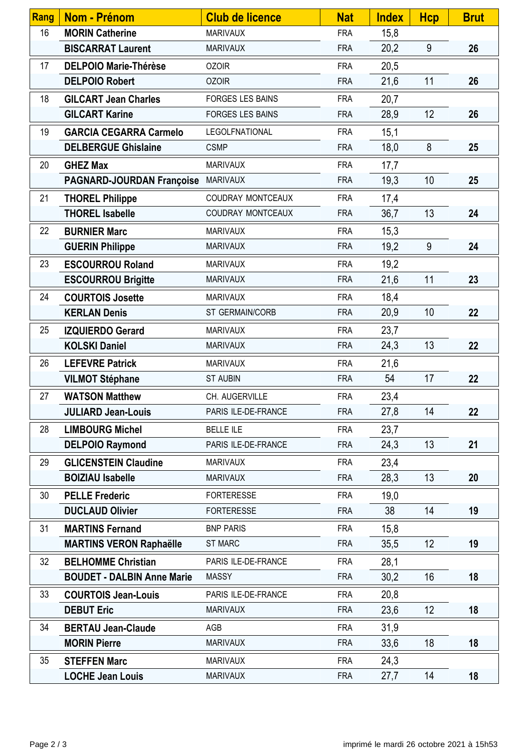| Rang | <b>Nom - Prénom</b>               | <b>Club de licence</b>  | <b>Nat</b> | <b>Index</b> | <b>Hcp</b> | <b>Brut</b> |
|------|-----------------------------------|-------------------------|------------|--------------|------------|-------------|
| 16   | <b>MORIN Catherine</b>            | <b>MARIVAUX</b>         | <b>FRA</b> | 15,8         |            |             |
|      | <b>BISCARRAT Laurent</b>          | <b>MARIVAUX</b>         | <b>FRA</b> | 20,2         | 9          | 26          |
| 17   | <b>DELPOIO Marie-Thérèse</b>      | <b>OZOIR</b>            | <b>FRA</b> | 20,5         |            |             |
|      | <b>DELPOIO Robert</b>             | <b>OZOIR</b>            | <b>FRA</b> | 21,6         | 11         | 26          |
| 18   | <b>GILCART Jean Charles</b>       | <b>FORGES LES BAINS</b> | <b>FRA</b> | 20,7         |            |             |
|      | <b>GILCART Karine</b>             | <b>FORGES LES BAINS</b> | <b>FRA</b> | 28,9         | 12         | 26          |
| 19   | <b>GARCIA CEGARRA Carmelo</b>     | <b>LEGOLFNATIONAL</b>   | <b>FRA</b> | 15,1         |            |             |
|      | <b>DELBERGUE Ghislaine</b>        | <b>CSMP</b>             | <b>FRA</b> | 18,0         | 8          | 25          |
| 20   | <b>GHEZ Max</b>                   | <b>MARIVAUX</b>         | <b>FRA</b> | 17,7         |            |             |
|      | <b>PAGNARD-JOURDAN Françoise</b>  | <b>MARIVAUX</b>         | <b>FRA</b> | 19,3         | 10         | 25          |
| 21   | <b>THOREL Philippe</b>            | COUDRAY MONTCEAUX       | <b>FRA</b> | 17,4         |            |             |
|      | <b>THOREL Isabelle</b>            | COUDRAY MONTCEAUX       | <b>FRA</b> | 36,7         | 13         | 24          |
| 22   | <b>BURNIER Marc</b>               | <b>MARIVAUX</b>         | <b>FRA</b> | 15,3         |            |             |
|      | <b>GUERIN Philippe</b>            | <b>MARIVAUX</b>         | <b>FRA</b> | 19,2         | 9          | 24          |
| 23   | <b>ESCOURROU Roland</b>           | <b>MARIVAUX</b>         | <b>FRA</b> | 19,2         |            |             |
|      | <b>ESCOURROU Brigitte</b>         | <b>MARIVAUX</b>         | <b>FRA</b> | 21,6         | 11         | 23          |
| 24   | <b>COURTOIS Josette</b>           | <b>MARIVAUX</b>         | <b>FRA</b> | 18,4         |            |             |
|      | <b>KERLAN Denis</b>               | ST GERMAIN/CORB         | <b>FRA</b> | 20,9         | 10         | 22          |
| 25   | <b>IZQUIERDO Gerard</b>           | <b>MARIVAUX</b>         | <b>FRA</b> | 23,7         |            |             |
|      | <b>KOLSKI Daniel</b>              | <b>MARIVAUX</b>         | <b>FRA</b> | 24,3         | 13         | 22          |
| 26   | <b>LEFEVRE Patrick</b>            | <b>MARIVAUX</b>         | <b>FRA</b> | 21,6         |            |             |
|      | <b>VILMOT Stéphane</b>            | <b>ST AUBIN</b>         | <b>FRA</b> | 54           | 17         | 22          |
| 27   | <b>WATSON Matthew</b>             | CH. AUGERVILLE          | <b>FRA</b> | 23,4         |            |             |
|      | <b>JULIARD Jean-Louis</b>         | PARIS ILE-DE-FRANCE     | <b>FRA</b> | 27,8         | 14         | 22          |
| 28   | <b>LIMBOURG Michel</b>            | <b>BELLE ILE</b>        | <b>FRA</b> | 23,7         |            |             |
|      | <b>DELPOIO Raymond</b>            | PARIS ILE-DE-FRANCE     | <b>FRA</b> | 24,3         | 13         | 21          |
| 29   | <b>GLICENSTEIN Claudine</b>       | <b>MARIVAUX</b>         | <b>FRA</b> | 23,4         |            |             |
|      | <b>BOIZIAU Isabelle</b>           | <b>MARIVAUX</b>         | <b>FRA</b> | 28,3         | 13         | 20          |
| 30   | <b>PELLE Frederic</b>             | <b>FORTERESSE</b>       | <b>FRA</b> | 19,0         |            |             |
|      | <b>DUCLAUD Olivier</b>            | <b>FORTERESSE</b>       | <b>FRA</b> | 38           | 14         | 19          |
| 31   | <b>MARTINS Fernand</b>            | <b>BNP PARIS</b>        | <b>FRA</b> | 15,8         |            |             |
|      | <b>MARTINS VERON Raphaëlle</b>    | <b>ST MARC</b>          | <b>FRA</b> | 35,5         | 12         | 19          |
| 32   | <b>BELHOMME Christian</b>         | PARIS ILE-DE-FRANCE     | <b>FRA</b> | 28,1         |            |             |
|      | <b>BOUDET - DALBIN Anne Marie</b> | <b>MASSY</b>            | <b>FRA</b> | 30,2         | 16         | 18          |
| 33   | <b>COURTOIS Jean-Louis</b>        | PARIS ILE-DE-FRANCE     | <b>FRA</b> | 20,8         |            |             |
|      | <b>DEBUT Eric</b>                 | <b>MARIVAUX</b>         | <b>FRA</b> | 23,6         | 12         | 18          |
| 34   | <b>BERTAU Jean-Claude</b>         | AGB                     | <b>FRA</b> | 31,9         |            |             |
|      | <b>MORIN Pierre</b>               | <b>MARIVAUX</b>         | <b>FRA</b> | 33,6         | 18         | 18          |
| 35   | <b>STEFFEN Marc</b>               | <b>MARIVAUX</b>         | <b>FRA</b> | 24,3         |            |             |
|      | <b>LOCHE Jean Louis</b>           | <b>MARIVAUX</b>         | <b>FRA</b> | 27,7         | 14         | 18          |